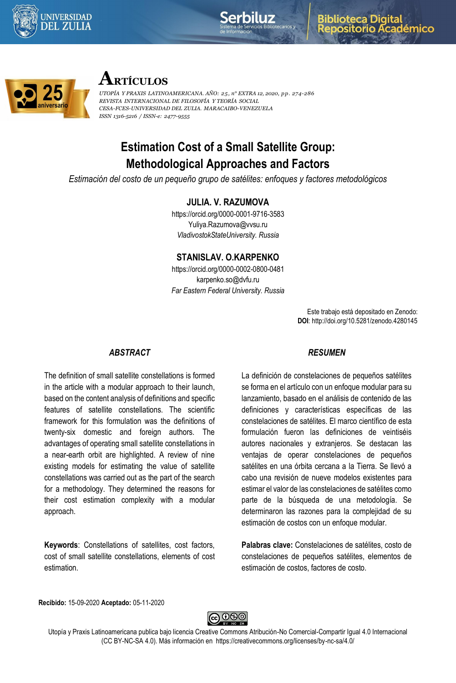





# **ARTÍCULOS**

*UTOPÍA Y PRAXIS LATINOAMERICANA. AÑO: 25, n° EXTRA 12, 2020, pp. 274-286 REVISTA INTERNACIONAL DE FILOSOFÍA Y TEORÍA SOCIAL CESA-FCES-UNIVERSIDAD DEL ZULIA. MARACAIBO-VENEZUELA ISSN 1316-5216 / ISSN-e: 2477-9555*

# **Estimation Cost of a Small Satellite Group: Methodological Approaches and Factors**

*Estimación del costo de un pequeño grupo de satélites: enfoques y factores metodológicos*

## **JULIA. V. RAZUMOVA**

https://orcid.org/0000-0001-9716-3583 Yuliya.Razumova@vvsu.ru *VladivostokStateUniversity. Russia*

#### **STANISLAV. O.KARPENKO**

https://orcid.org/0000-0002-0800-0481 karpenko.so@dvfu.ru *Far Eastern Federal University. Russia*

> Este trabajo está depositado en Zenodo: **DOI**: http://doi.org/10.5281/zenodo.4280145

#### *ABSTRACT*

The definition of small satellite constellations is formed in the article with a modular approach to their launch, based on the content analysis of definitions and specific features of satellite constellations. The scientific framework for this formulation was the definitions of twenty-six domestic and foreign authors. The advantages of operating small satellite constellations in a near-earth orbit are highlighted. A review of nine existing models for estimating the value of satellite constellations was carried out as the part of the search for a methodology. They determined the reasons for their cost estimation complexity with a modular approach.

**Keywords**: Constellations of satellites, cost factors, cost of small satellite constellations, elements of cost estimation.

#### *RESUMEN*

La definición de constelaciones de pequeños satélites se forma en el artículo con un enfoque modular para su lanzamiento, basado en el análisis de contenido de las definiciones y características específicas de las constelaciones de satélites. El marco científico de esta formulación fueron las definiciones de veintiséis autores nacionales y extranjeros. Se destacan las ventajas de operar constelaciones de pequeños satélites en una órbita cercana a la Tierra. Se llevó a cabo una revisión de nueve modelos existentes para estimar el valor de las constelaciones de satélites como parte de la búsqueda de una metodología. Se determinaron las razones para la complejidad de su estimación de costos con un enfoque modular.

**Palabras clave:** Constelaciones de satélites, costo de constelaciones de pequeños satélites, elementos de estimación de costos, factores de costo.

**Recibido:** 15-09-2020 **Aceptado:** 05-11-2020



Utopía y Praxis Latinoamericana publica bajo licencia Creative Commons Atribución-No Comercial-Compartir Igual 4.0 Internacional (CC BY-NC-SA 4.0). Más información en https://creativecommons.org/licenses/by-nc-sa/4.0/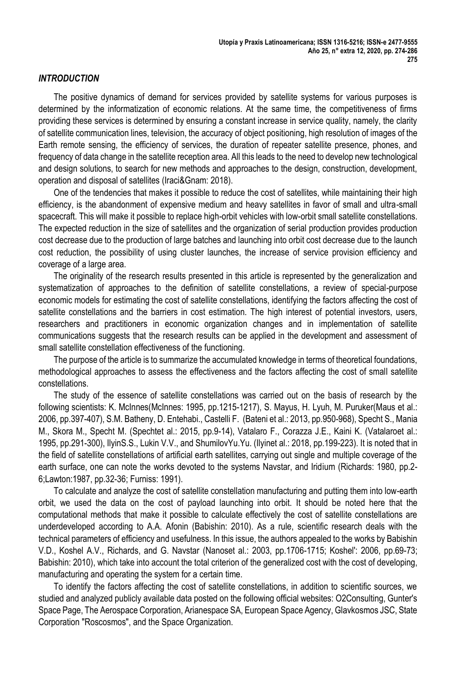## *INTRODUCTION*

The positive dynamics of demand for services provided by satellite systems for various purposes is determined by the informatization of economic relations. At the same time, the competitiveness of firms providing these services is determined by ensuring a constant increase in service quality, namely, the clarity of satellite communication lines, television, the accuracy of object positioning, high resolution of images of the Earth remote sensing, the efficiency of services, the duration of repeater satellite presence, phones, and frequency of data change in the satellite reception area. All this leads to the need to develop new technological and design solutions, to search for new methods and approaches to the design, construction, development, operation and disposal of satellites (Iraci&Gnam: 2018).

One of the tendencies that makes it possible to reduce the cost of satellites, while maintaining their high efficiency, is the abandonment of expensive medium and heavy satellites in favor of small and ultra-small spacecraft. This will make it possible to replace high-orbit vehicles with low-orbit small satellite constellations. The expected reduction in the size of satellites and the organization of serial production provides production cost decrease due to the production of large batches and launching into orbit cost decrease due to the launch cost reduction, the possibility of using cluster launches, the increase of service provision efficiency and coverage of a large area.

The originality of the research results presented in this article is represented by the generalization and systematization of approaches to the definition of satellite constellations, a review of special-purpose economic models for estimating the cost of satellite constellations, identifying the factors affecting the cost of satellite constellations and the barriers in cost estimation. The high interest of potential investors, users, researchers and practitioners in economic organization changes and in implementation of satellite communications suggests that the research results can be applied in the development and assessment of small satellite constellation effectiveness of the functioning.

The purpose of the article is to summarize the accumulated knowledge in terms of theoretical foundations, methodological approaches to assess the effectiveness and the factors affecting the cost of small satellite constellations.

The study of the essence of satellite constellations was carried out on the basis of research by the following scientists: K. McInnes(McInnes: 1995, pp.1215-1217), S. Mayus, H. Lyuh, M. Puruker(Maus et al.: 2006, pp.397-407), S.M. Batheny, D. Entehabi., Castelli F. (Bateni et al.: 2013, pp.950-968), Specht S., Mania M., Skora M., Specht M. (Spechtet al.: 2015, pp.9-14), Vatalaro F., Corazza J.E., Kaini K. (Vatalaroet al.: 1995, pp.291-300), IlyinS.S., Lukin V.V., and ShumilovYu.Yu. (Ilyinet al.: 2018, pp.199-223). It is noted that in the field of satellite constellations of artificial earth satellites, carrying out single and multiple coverage of the earth surface, one can note the works devoted to the systems Navstar, and Iridium (Richards: 1980, pp.2- 6;Lawton:1987, pp.32-36; Furniss: 1991).

To calculate and analyze the cost of satellite constellation manufacturing and putting them into low-earth orbit, we used the data on the cost of payload launching into orbit. It should be noted here that the computational methods that make it possible to calculate effectively the cost of satellite constellations are underdeveloped according to A.A. Afonin (Babishin: 2010). As a rule, scientific research deals with the technical parameters of efficiency and usefulness. In this issue, the authors appealed to the works by Babishin V.D., Koshel A.V., Richards, and G. Navstar (Nanoset al.: 2003, pp.1706-1715; Koshel': 2006, pp.69-73; Babishin: 2010), which take into account the total criterion of the generalized cost with the cost of developing, manufacturing and operating the system for a certain time.

To identify the factors affecting the cost of satellite constellations, in addition to scientific sources, we studied and analyzed publicly available data posted on the following official websites: O2Consulting, Gunter's Space Page, The Aerospace Corporation, Arianespace SA, European Space Agency, Glavkosmos JSC, State Corporation "Roscosmos", and the Space Organization.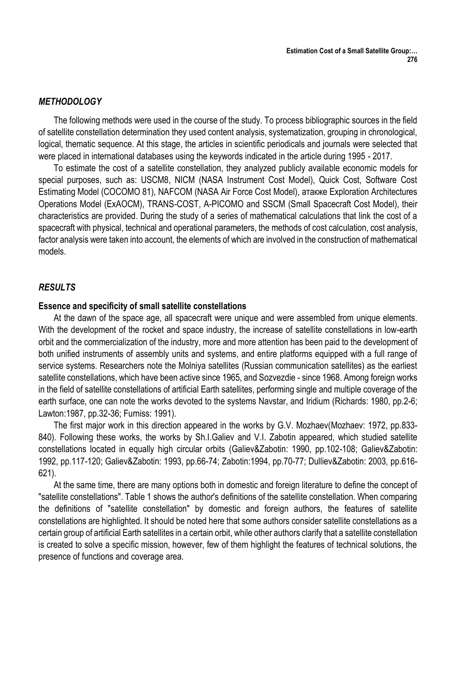## *METHODOLOGY*

The following methods were used in the course of the study. To process bibliographic sources in the field of satellite constellation determination they used content analysis, systematization, grouping in chronological, logical, thematic sequence. At this stage, the articles in scientific periodicals and journals were selected that were placed in international databases using the keywords indicated in the article during 1995 - 2017.

To estimate the cost of a satellite constellation, they analyzed publicly available economic models for special purposes, such as: USCM8, NICM (NASA Instrument Cost Model), Quick Cost, Software Cost Estimating Model (COCOMO 81), NAFCOM (NASA Air Force Cost Model), атакже Exploration Architectures Operations Model (ExAOCM), TRANS-COST, A-PICOMO and SSCM (Small Spacecraft Cost Model), their characteristics are provided. During the study of a series of mathematical calculations that link the cost of a spacecraft with physical, technical and operational parameters, the methods of cost calculation, cost analysis, factor analysis were taken into account, the elements of which are involved in the construction of mathematical models.

## *RESULTS*

## **Essence and specificity of small satellite constellations**

At the dawn of the space age, all spacecraft were unique and were assembled from unique elements. With the development of the rocket and space industry, the increase of satellite constellations in low-earth orbit and the commercialization of the industry, more and more attention has been paid to the development of both unified instruments of assembly units and systems, and entire platforms equipped with a full range of service systems. Researchers note the Molniya satellites (Russian communication satellites) as the earliest satellite constellations, which have been active since 1965, and Sozvezdie - since 1968. Among foreign works in the field of satellite constellations of artificial Earth satellites, performing single and multiple coverage of the earth surface, one can note the works devoted to the systems Navstar, and Iridium (Richards: 1980, pp.2-6; Lawton:1987, pp.32-36; Furniss: 1991).

The first major work in this direction appeared in the works by G.V. Mozhaev(Mozhaev: 1972, pp.833- 840). Following these works, the works by Sh.I.Galiev and V.I. Zabotin appeared, which studied satellite constellations located in equally high circular orbits (Galiev&Zabotin: 1990, pp.102-108; Galiev&Zabotin: 1992, pp.117-120; Galiev&Zabotin: 1993, pp.66-74; Zabotin:1994, pp.70-77; Dulliev&Zabotin: 2003, pp.616- 621).

At the same time, there are many options both in domestic and foreign literature to define the concept of "satellite constellations". Table 1 shows the author's definitions of the satellite constellation. When comparing the definitions of "satellite constellation" by domestic and foreign authors, the features of satellite constellations are highlighted. It should be noted here that some authors consider satellite constellations as a certain group of artificial Earth satellites in a certain orbit, while other authors clarify that a satellite constellation is created to solve a specific mission, however, few of them highlight the features of technical solutions, the presence of functions and coverage area.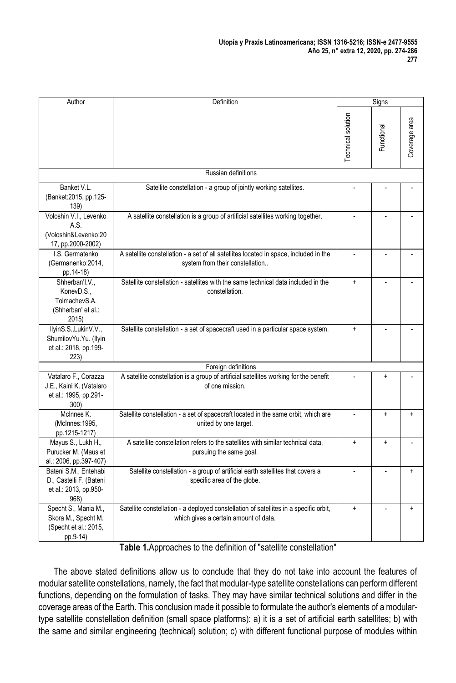| Author                                                                            | Definition                                                                                                                     |                          | Signs          |               |
|-----------------------------------------------------------------------------------|--------------------------------------------------------------------------------------------------------------------------------|--------------------------|----------------|---------------|
|                                                                                   |                                                                                                                                | Technical solution       | Functional     | Coverage area |
|                                                                                   | Russian definitions                                                                                                            |                          |                |               |
| Banket V.L.<br>(Banket:2015, pp.125-<br>139)                                      | Satellite constellation - a group of jointly working satellites.                                                               |                          |                |               |
| Voloshin V.I., Levenko<br>A.S.<br>(Voloshin&Levenko:20<br>17, pp.2000-2002)       | A satellite constellation is a group of artificial satellites working together.                                                | $\overline{\phantom{a}}$ | $\overline{a}$ |               |
| I.S. Germatenko<br>(Germanenko: 2014,<br>pp.14-18)                                | A satellite constellation - a set of all satellites located in space, included in the<br>system from their constellation       | ÷,                       |                |               |
| Shherban'l.V.,<br>KonevD.S<br>TolmachevS.A.<br>(Shherban' et al.:<br>2015         | Satellite constellation - satellites with the same technical data included in the<br>constellation.                            | $\ddot{}$                | ÷,             |               |
| IlyinS.S.,LukinV.V.,<br>ShumilovYu.Yu. (Ilyin<br>et al.: 2018, pp.199-<br>223)    | Satellite constellation - a set of spacecraft used in a particular space system.                                               | $\ddot{}$                |                |               |
|                                                                                   | Foreign definitions                                                                                                            |                          |                |               |
| Vatalaro F., Corazza<br>J.E., Kaini K. (Vatalaro<br>et al.: 1995, pp.291-<br>300) | A satellite constellation is a group of artificial satellites working for the benefit<br>of one mission.                       |                          | $\ddot{}$      |               |
| McInnes K.<br>(McInnes: 1995,<br>pp.1215-1217)                                    | Satellite constellation - a set of spacecraft located in the same orbit, which are<br>united by one target.                    | ÷.                       | $\ddot{}$      | $\ddot{}$     |
| Mayus S., Lukh H.,<br>Purucker M. (Maus et<br>al.: 2006, pp.397-407)              | A satellite constellation refers to the satellites with similar technical data,<br>pursuing the same goal.                     | $\ddot{}$                | $\ddot{}$      |               |
| Bateni S.M., Entehabi<br>D., Castelli F. (Bateni<br>et al.: 2013, pp.950-<br>968) | Satellite constellation - a group of artificial earth satellites that covers a<br>specific area of the globe.                  | ä,                       | ä,             | ÷             |
| Specht S., Mania M.,<br>Skora M., Specht M.<br>(Specht et al.: 2015,<br>pp.9-14)  | Satellite constellation - a deployed constellation of satellites in a specific orbit,<br>which gives a certain amount of data. | $\ddot{}$                |                | $\ddot{}$     |

**Table 1.**Approaches to the definition of "satellite constellation"

The above stated definitions allow us to conclude that they do not take into account the features of modular satellite constellations, namely, the fact that modular-type satellite constellations can perform different functions, depending on the formulation of tasks. They may have similar technical solutions and differ in the coverage areas of the Earth. This conclusion made it possible to formulate the author's elements of a modulartype satellite constellation definition (small space platforms): a) it is a set of artificial earth satellites; b) with the same and similar engineering (technical) solution; c) with different functional purpose of modules within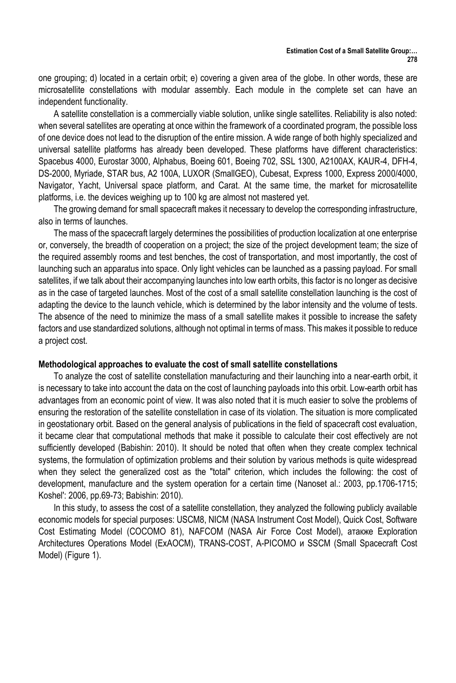one grouping; d) located in a certain orbit; e) covering a given area of the globe. In other words, these are microsatellite constellations with modular assembly. Each module in the complete set can have an independent functionality.

A satellite constellation is a commercially viable solution, unlike single satellites. Reliability is also noted: when several satellites are operating at once within the framework of a coordinated program, the possible loss of one device does not lead to the disruption of the entire mission. A wide range of both highly specialized and universal satellite platforms has already been developed. These platforms have different characteristics: Spacebus 4000, Eurostar 3000, Alphabus, Boeing 601, Boeing 702, SSL 1300, A2100AX, KAUR-4, DFH-4, DS-2000, Myriade, STAR bus, A2 100A, LUXOR (SmallGEO), Cubesat, Express 1000, Express 2000/4000, Navigator, Yacht, Universal space platform, and Carat. At the same time, the market for microsatellite platforms, i.e. the devices weighing up to 100 kg are almost not mastered yet.

The growing demand for small spacecraft makes it necessary to develop the corresponding infrastructure, also in terms of launches.

The mass of the spacecraft largely determines the possibilities of production localization at one enterprise or, conversely, the breadth of cooperation on a project; the size of the project development team; the size of the required assembly rooms and test benches, the cost of transportation, and most importantly, the cost of launching such an apparatus into space. Only light vehicles can be launched as a passing payload. For small satellites, if we talk about their accompanying launches into low earth orbits, this factor is no longer as decisive as in the case of targeted launches. Most of the cost of a small satellite constellation launching is the cost of adapting the device to the launch vehicle, which is determined by the labor intensity and the volume of tests. The absence of the need to minimize the mass of a small satellite makes it possible to increase the safety factors and use standardized solutions, although not optimal in terms of mass. This makes it possible to reduce a project cost.

#### **Methodological approaches to evaluate the cost of small satellite constellations**

To analyze the cost of satellite constellation manufacturing and their launching into a near-earth orbit, it is necessary to take into account the data on the cost of launching payloads into this orbit. Low-earth orbit has advantages from an economic point of view. It was also noted that it is much easier to solve the problems of ensuring the restoration of the satellite constellation in case of its violation. The situation is more complicated in geostationary orbit. Based on the general analysis of publications in the field of spacecraft cost evaluation, it became clear that computational methods that make it possible to calculate their cost effectively are not sufficiently developed (Babishin: 2010). It should be noted that often when they create complex technical systems, the formulation of optimization problems and their solution by various methods is quite widespread when they select the generalized cost as the "total" criterion, which includes the following: the cost of development, manufacture and the system operation for a certain time (Nanoset al.: 2003, pp.1706-1715; Koshel': 2006, pp.69-73; Babishin: 2010).

In this study, to assess the cost of a satellite constellation, they analyzed the following publicly available economic models for special purposes: USCM8, NICM (NASA Instrument Cost Model), Quick Cost, Software Cost Estimating Model (COCOMO 81), NAFCOM (NASA Air Force Cost Model), атакже Exploration Architectures Operations Model (ExAOCM), TRANS-COST, A-PICOMO и SSCM (Small Spacecraft Cost Model) (Figure 1).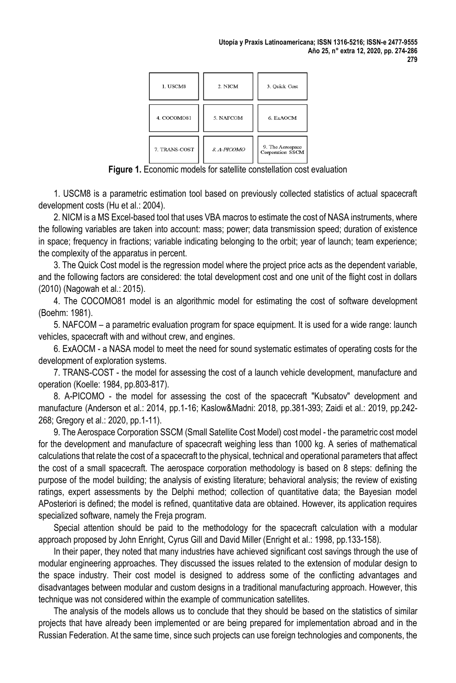| 1. USCM8      | 2. NICM     | 3. Quick Cost                        |
|---------------|-------------|--------------------------------------|
| 4. COCOMO81   | 5. NAFCOM   | 6. ExAOCM                            |
| 7. TRANS-COST | 8. A-PICOMO | 9. The Aerospace<br>Corporation SSCM |

**Figure 1.** Economic models for satellite constellation cost evaluation

1. USCM8 is a parametric estimation tool based on previously collected statistics of actual spacecraft development costs (Hu et al.: 2004).

2. NICM is a MS Excel-based tool that uses VBA macros to estimate the cost of NASA instruments, where the following variables are taken into account: mass; power; data transmission speed; duration of existence in space; frequency in fractions; variable indicating belonging to the orbit; year of launch; team experience; the complexity of the apparatus in percent.

3. The Quick Cost model is the regression model where the project price acts as the dependent variable, and the following factors are considered: the total development cost and one unit of the flight cost in dollars (2010) (Nagowah et al.: 2015).

4. The COCOMO81 model is an algorithmic model for estimating the cost of software development (Boehm: 1981).

5. NAFCOM – a parametric evaluation program for space equipment. It is used for a wide range: launch vehicles, spacecraft with and without crew, and engines.

6. ExAOCM - a NASA model to meet the need for sound systematic estimates of operating costs for the development of exploration systems.

7. TRANS-COST - the model for assessing the cost of a launch vehicle development, manufacture and operation (Koelle: 1984, pp.803-817).

8. A-PICOMO - the model for assessing the cost of the spacecraft "Kubsatov" development and manufacture (Anderson et al.: 2014, pp.1-16; Kaslow&Madni: 2018, pp.381-393; Zaidi et al.: 2019, pp.242- 268; Gregory et al.: 2020, pp.1-11).

9. The Aerospace Corporation SSCM (Small Satellite Cost Model) cost model - the parametric cost model for the development and manufacture of spacecraft weighing less than 1000 kg. A series of mathematical calculations that relate the cost of a spacecraft to the physical, technical and operational parameters that affect the cost of a small spacecraft. The aerospace corporation methodology is based on 8 steps: defining the purpose of the model building; the analysis of existing literature; behavioral analysis; the review of existing ratings, expert assessments by the Delphi method; collection of quantitative data; the Bayesian model APosteriori is defined; the model is refined, quantitative data are obtained. However, its application requires specialized software, namely the Freja program.

Special attention should be paid to the methodology for the spacecraft calculation with a modular approach proposed by John Enright, Cyrus Gill and David Miller (Enright et al.: 1998, pp.133-158).

In their paper, they noted that many industries have achieved significant cost savings through the use of modular engineering approaches. They discussed the issues related to the extension of modular design to the space industry. Their cost model is designed to address some of the conflicting advantages and disadvantages between modular and custom designs in a traditional manufacturing approach. However, this technique was not considered within the example of communication satellites.

The analysis of the models allows us to conclude that they should be based on the statistics of similar projects that have already been implemented or are being prepared for implementation abroad and in the Russian Federation. At the same time, since such projects can use foreign technologies and components, the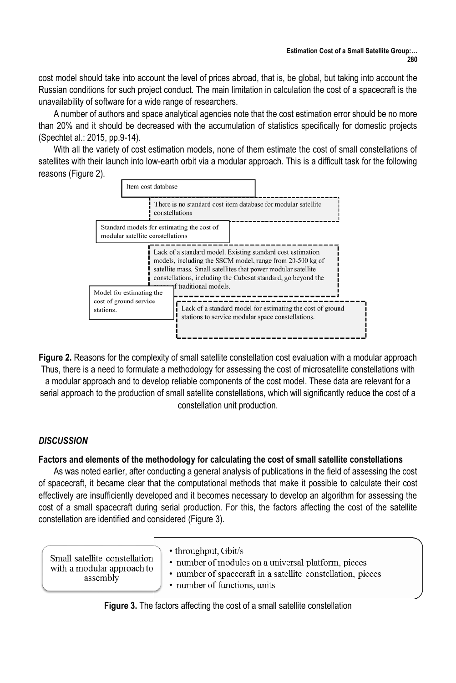cost model should take into account the level of prices abroad, that is, be global, but taking into account the Russian conditions for such project conduct. The main limitation in calculation the cost of a spacecraft is the unavailability of software for a wide range of researchers.

A number of authors and space analytical agencies note that the cost estimation error should be no more than 20% and it should be decreased with the accumulation of statistics specifically for domestic projects (Spechtet al.: 2015, pp.9-14).

With all the variety of cost estimation models, none of them estimate the cost of small constellations of satellites with their launch into low-earth orbit via a modular approach. This is a difficult task for the following reasons (Figure 2).



**Figure 2.** Reasons for the complexity of small satellite constellation cost evaluation with a modular approach Thus, there is a need to formulate a methodology for assessing the cost of microsatellite constellations with a modular approach and to develop reliable components of the cost model. These data are relevant for a serial approach to the production of small satellite constellations, which will significantly reduce the cost of a constellation unit production.

# *DISCUSSION*

# **Factors and elements of the methodology for calculating the cost of small satellite constellations**

As was noted earlier, after conducting a general analysis of publications in the field of assessing the cost of spacecraft, it became clear that the computational methods that make it possible to calculate their cost effectively are insufficiently developed and it becomes necessary to develop an algorithm for assessing the cost of a small spacecraft during serial production. For this, the factors affecting the cost of the satellite constellation are identified and considered (Figure 3).

|  | Small satellite constellation<br>with a modular approach to<br>assembly | • throughput, Gbit/s<br>• number of modules on a universal platform, pieces<br>• number of spacecraft in a satellite constellation, pieces<br>• number of functions, units |  |
|--|-------------------------------------------------------------------------|----------------------------------------------------------------------------------------------------------------------------------------------------------------------------|--|
|  |                                                                         |                                                                                                                                                                            |  |

**Figure 3.** The factors affecting the cost of a small satellite constellation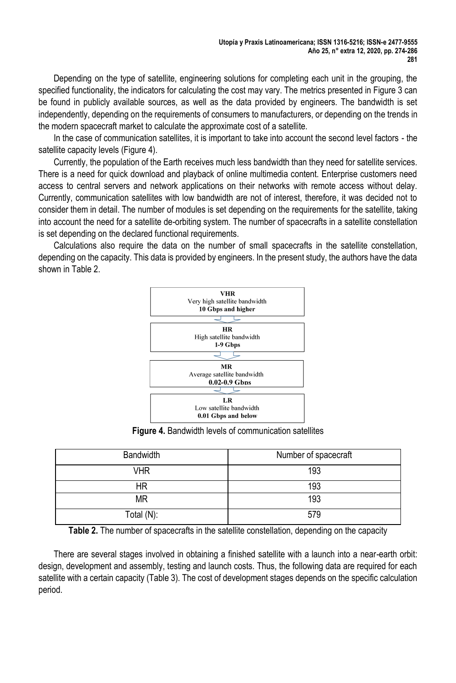Depending on the type of satellite, engineering solutions for completing each unit in the grouping, the specified functionality, the indicators for calculating the cost may vary. The metrics presented in Figure 3 can be found in publicly available sources, as well as the data provided by engineers. The bandwidth is set independently, depending on the requirements of consumers to manufacturers, or depending on the trends in the modern spacecraft market to calculate the approximate cost of a satellite.

In the case of communication satellites, it is important to take into account the second level factors - the satellite capacity levels (Figure 4).

Currently, the population of the Earth receives much less bandwidth than they need for satellite services. There is a need for quick download and playback of online multimedia content. Enterprise customers need access to central servers and network applications on their networks with remote access without delay. Currently, communication satellites with low bandwidth are not of interest, therefore, it was decided not to consider them in detail. The number of modules is set depending on the requirements for the satellite, taking into account the need for a satellite de-orbiting system. The number of spacecrafts in a satellite constellation is set depending on the declared functional requirements.

Calculations also require the data on the number of small spacecrafts in the satellite constellation, depending on the capacity. This data is provided by engineers. In the present study, the authors have the data shown in Table 2.



**Figure 4.** Bandwidth levels of communication satellites

| <b>Bandwidth</b> | Number of spacecraft |
|------------------|----------------------|
| <b>VHR</b>       | 193                  |
| ΗR               | 193                  |
| <b>MR</b>        | 193                  |
| Total (N):       | 579                  |

**Table 2.** The number of spacecrafts in the satellite constellation, depending on the capacity

There are several stages involved in obtaining a finished satellite with a launch into a near-earth orbit: design, development and assembly, testing and launch costs. Thus, the following data are required for each satellite with a certain capacity (Table 3). The cost of development stages depends on the specific calculation period.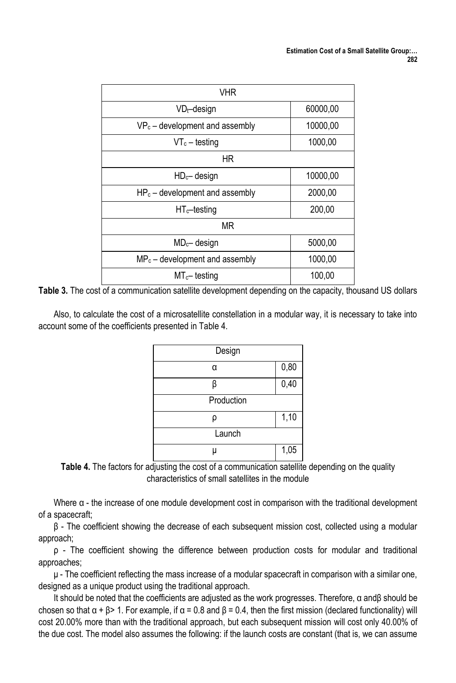| <b>VHR</b>                        |          |
|-----------------------------------|----------|
| $VD_t$ -design                    | 60000,00 |
| $VP_c$ – development and assembly | 10000,00 |
| $VT_c - \text{testing}$           | 1000,00  |
| ΗR                                |          |
| $HDc$ design                      | 10000,00 |
| $HP_c$ – development and assembly | 2000,00  |
| $HT_c$ -testing                   | 200,00   |
| <b>MR</b>                         |          |
| $MDc$ - design                    | 5000,00  |
| $MP_c$ – development and assembly | 1000,00  |
| $MT_{c}$ -testing                 | 100,00   |

**Table 3.** The cost of a communication satellite development depending on the capacity, thousand US dollars

Also, to calculate the cost of a microsatellite constellation in a modular way, it is necessary to take into account some of the coefficients presented in Table 4.

| Design     |      |
|------------|------|
| U          | 0,80 |
|            | 0,40 |
| Production |      |
|            | 1,10 |
| Launch     |      |
|            | 1,05 |

**Table 4.** The factors for adjusting the cost of a communication satellite depending on the quality characteristics of small satellites in the module

Where α - the increase of one module development cost in comparison with the traditional development of a spacecraft;

β - The coefficient showing the decrease of each subsequent mission cost, collected using a modular approach;

ρ - The coefficient showing the difference between production costs for modular and traditional approaches;

 $\mu$  - The coefficient reflecting the mass increase of a modular spacecraft in comparison with a similar one, designed as a unique product using the traditional approach.

It should be noted that the coefficients are adjusted as the work progresses. Therefore, α andβ should be chosen so that  $\alpha$  +  $\beta$  > 1. For example, if  $\alpha$  = 0.8 and  $\beta$  = 0.4, then the first mission (declared functionality) will cost 20.00% more than with the traditional approach, but each subsequent mission will cost only 40.00% of the due cost. The model also assumes the following: if the launch costs are constant (that is, we can assume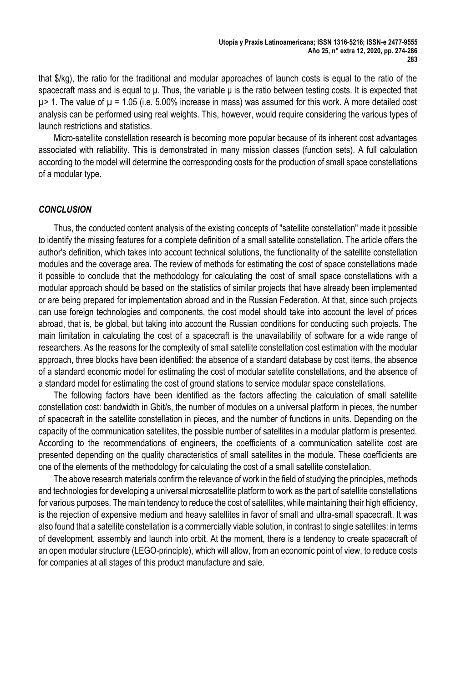that \$/kg), the ratio for the traditional and modular approaches of launch costs is equal to the ratio of the spacecraft mass and is equal to μ. Thus, the variable μ is the ratio between testing costs. It is expected that  $\mu$  is 1. The value of  $\mu$  = 1.05 (i.e. 5.00% increase in mass) was assumed for this work. A more detailed cost analysis can be performed using real weights. This, however, would require considering the various types of launch restrictions and statistics.

Micro-satellite constellation research is becoming more popular because of its inherent cost advantages associated with reliability. This is demonstrated in many mission classes (function sets). A full calculation according to the model will determine the corresponding costs for the production of small space constellations of a modular type.

#### *CONCLUSION*

Thus, the conducted content analysis of the existing concepts of "satellite constellation" made it possible to identify the missing features for a complete definition of a small satellite constellation. The article offers the author's definition, which takes into account technical solutions, the functionality of the satellite constellation modules and the coverage area. The review of methods for estimating the cost of space constellations made it possible to conclude that the methodology for calculating the cost of small space constellations with a modular approach should be based on the statistics of similar projects that have already been implemented or are being prepared for implementation abroad and in the Russian Federation. At that, since such projects can use foreign technologies and components, the cost model should take into account the level of prices abroad, that is, be global, but taking into account the Russian conditions for conducting such projects. The main limitation in calculating the cost of a spacecraft is the unavailability of software for a wide range of researchers. As the reasons for the complexity of small satellite constellation cost estimation with the modular approach, three blocks have been identified: the absence of a standard database by cost items, the absence of a standard economic model for estimating the cost of modular satellite constellations, and the absence of a standard model for estimating the cost of ground stations to service modular space constellations.

The following factors have been identified as the factors affecting the calculation of small satellite constellation cost: bandwidth in Gbit/s, the number of modules on a universal platform in pieces, the number of spacecraft in the satellite constellation in pieces, and the number of functions in units. Depending on the capacity of the communication satellites, the possible number of satellites in a modular platform is presented. According to the recommendations of engineers, the coefficients of a communication satellite cost are presented depending on the quality characteristics of small satellites in the module. These coefficients are one of the elements of the methodology for calculating the cost of a small satellite constellation.

The above research materials confirm the relevance of work in the field of studying the principles, methods and technologies for developing a universal microsatellite platform to work as the part of satellite constellations for various purposes. The main tendency to reduce the cost of satellites, while maintaining their high efficiency, is the rejection of expensive medium and heavy satellites in favor of small and ultra-small spacecraft. It was also found that a satellite constellation is a commercially viable solution, in contrast to single satellites: in terms of development, assembly and launch into orbit. At the moment, there is a tendency to create spacecraft of an open modular structure (LEGO-principle), which will allow, from an economic point of view, to reduce costs for companies at all stages of this product manufacture and sale.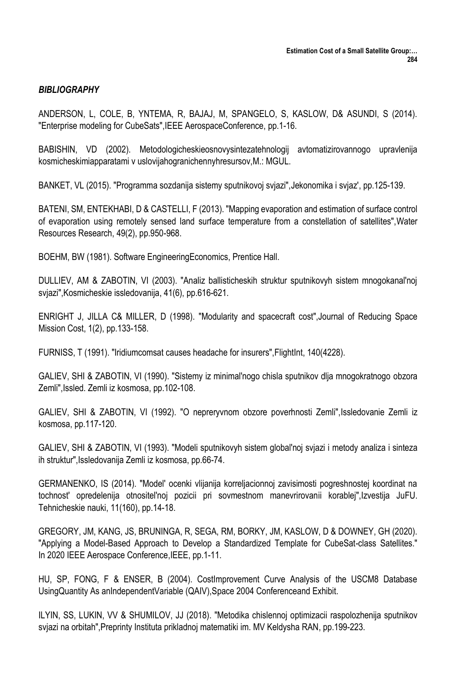# *BIBLIOGRAPHY*

ANDERSON, L, COLE, B, YNTEMA, R, BAJAJ, M, SPANGELO, S, KASLOW, D& ASUNDI, S (2014). "Enterprise modeling for CubeSats",IEEE AerospaceConference, pp.1-16.

BABISHIN, VD (2002). Metodologicheskieosnovysintezatehnologij avtomatizirovannogo upravlenija kosmicheskimiapparatami v uslovijahogranichennyhresursov,M.: MGUL.

BANKET, VL (2015). "Programma sozdanija sistemy sputnikovoj svjazi",Jekonomika i svjaz', pp.125-139.

BATENI, SM, ENTEKHABI, D & CASTELLI, F (2013). "Mapping evaporation and estimation of surface control of evaporation using remotely sensed land surface temperature from a constellation of satellites",Water Resources Research, 49(2), pp.950-968.

BOEHM, BW (1981). Software EngineeringEconomics, Prentice Hall.

DULLIEV, AM & ZABOTIN, VI (2003). "Analiz ballisticheskih struktur sputnikovyh sistem mnogokanal'noj svjazi",Kosmicheskie issledovanija, 41(6), pp.616-621.

ENRIGHT J, JILLA C& MILLER, D (1998). "Modularity and spacecraft cost",Journal of Reducing Space Mission Cost, 1(2), pp.133-158.

FURNISS, T (1991). "Iridiumcomsat causes headache for insurers",FlightInt, 140(4228).

GALIEV, SHI & ZABOTIN, VI (1990). "Sistemy iz minimal'nogo chisla sputnikov dlja mnogokratnogo obzora Zemli",Issled. Zemli iz kosmosa, pp.102-108.

GALIEV, SHI & ZABOTIN, VI (1992). "O nepreryvnom obzore poverhnosti Zemli",Issledovanie Zemli iz kosmosa, pp.117-120.

GALIEV, SHI & ZABOTIN, VI (1993). "Modeli sputnikovyh sistem global'noj svjazi i metody analiza i sinteza ih struktur",Issledovanija Zemli iz kosmosa, pp.66-74.

GERMANENKO, IS (2014). "Model' ocenki vlijanija korreljacionnoj zavisimosti pogreshnostej koordinat na tochnost' opredelenija otnositel'noj pozicii pri sovmestnom manevrirovanii korablej",Izvestija JuFU. Tehnicheskie nauki, 11(160), pp.14-18.

GREGORY, JM, KANG, JS, BRUNINGA, R, SEGA, RM, BORKY, JM, KASLOW, D & DOWNEY, GH (2020). "Applying a Model-Based Approach to Develop a Standardized Template for CubeSat-class Satellites." In 2020 IEEE Aerospace Conference,IEEE, pp.1-11.

HU, SP, FONG, F & ENSER, B (2004). CostImprovement Curve Analysis of the USCM8 Database UsingQuantity As anIndependentVariable (QAIV), Space 2004 Conferenceand Exhibit.

ILYIN, SS, LUKIN, VV & SHUMILOV, JJ (2018). "Metodika chislennoj optimizacii raspolozhenija sputnikov svjazi na orbitah",Preprinty Instituta prikladnoj matematiki im. MV Keldysha RAN, pp.199-223.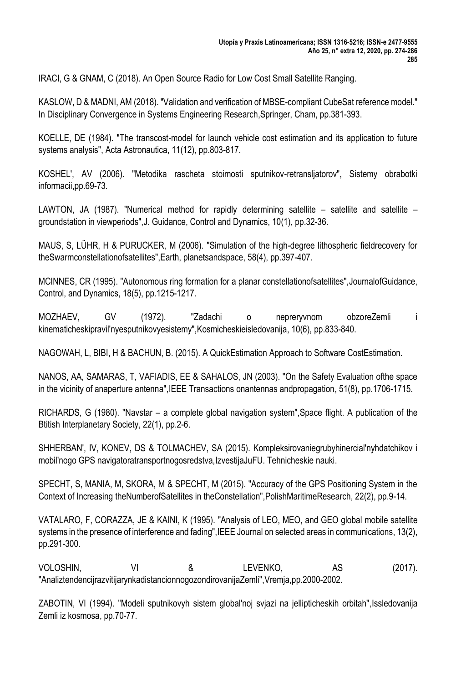IRACI, G & GNAM, C (2018). An Open Source Radio for Low Cost Small Satellite Ranging.

KASLOW, D & MADNI, AM (2018). "Validation and verification of MBSE-compliant CubeSat reference model." In Disciplinary Convergence in Systems Engineering Research,Springer, Cham, pp.381-393.

KOELLE, DE (1984). "The transcost-model for launch vehicle cost estimation and its application to future systems analysis", Acta Astronautica, 11(12), pp.803-817.

KOSHEL', AV (2006). "Metodika rascheta stoimosti sputnikov-retransljatorov", Sistemy obrabotki informacii,pp.69-73.

LAWTON, JA (1987). "Numerical method for rapidly determining satellite – satellite and satellite – groundstation in viewperiods",J. Guidance, Control and Dynamics, 10(1), pp.32-36.

MAUS, S, LÜHR, H & PURUCKER, M (2006). "Simulation of the high-degree lithospheric fieldrecovery for theSwarmconstellationofsatellites",Earth, planetsandspace, 58(4), pp.397-407.

MCINNES, CR (1995). "Autonomous ring formation for a planar constellationofsatellites",JournalofGuidance, Control, and Dynamics, 18(5), pp.1215-1217.

MOZHAEV, GV (1972). "Zadachi o nepreryvnom obzoreZemli i kinematicheskipravil'nyesputnikovyesistemy",Kosmicheskieisledovanija, 10(6), pp.833-840.

NAGOWAH, L, BIBI, H & BACHUN, B. (2015). A QuickEstimation Approach to Software CostEstimation.

NANOS, AA, SAMARAS, T, VAFIADIS, EE & SAHALOS, JN (2003). "On the Safety Evaluation ofthe space in the vicinity of anaperture antenna",IEEE Transactions onantennas andpropagation, 51(8), pp.1706-1715.

RICHARDS, G (1980). "Navstar – a complete global navigation system",Space flight. A publication of the Btitish Interplanetary Society, 22(1), pp.2-6.

SHHERBAN', IV, KONEV, DS & TOLMACHEV, SA (2015). Kompleksirovaniegrubyhinercial'nyhdatchikov i mobil'nogo GPS navigatoratransportnogosredstva,IzvestijaJuFU. Tehnicheskie nauki.

SPECHT, S, MANIA, M, SKORA, M & SPECHT, M (2015). "Accuracy of the GPS Positioning System in the Context of Increasing theNumberofSatellites in theConstellation",PolishMaritimeResearch, 22(2), pp.9-14.

VATALARO, F, CORAZZA, JE & KAINI, K (1995). "Analysis of LEO, MEO, and GEO global mobile satellite systems in the presence of interference and fading",IEEE Journal on selected areas in communications, 13(2), pp.291-300.

VOLOSHIN, VI & LEVENKO, AS (2017). "AnaliztendencijrazvitijarynkadistancionnogozondirovanijaZemli",Vremja,pp.2000-2002.

ZABOTIN, VI (1994). "Modeli sputnikovyh sistem global'noj svjazi na jellipticheskih orbitah",Issledovanija Zemli iz kosmosa, pp.70-77.